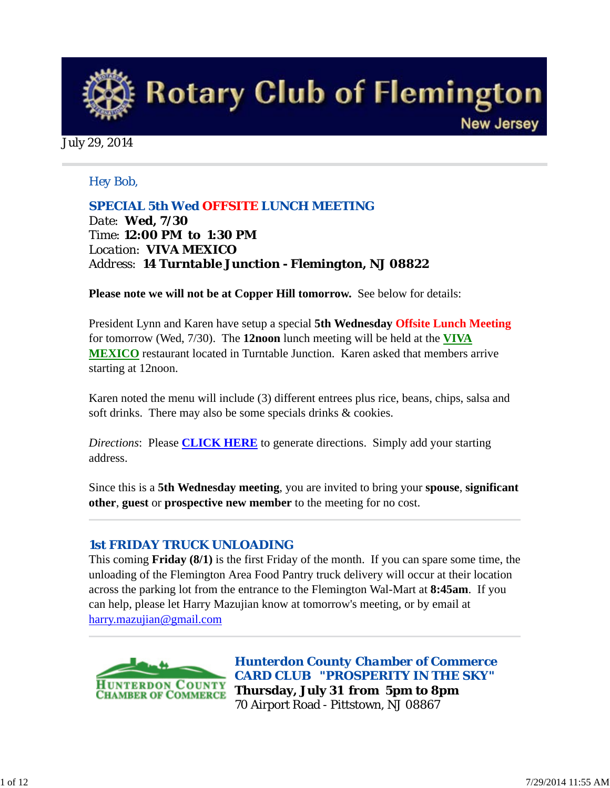

#### July 29, 2014

## *Hey Bob,*

*SPECIAL 5th Wed OFFSITE LUNCH MEETING Date: Wed, 7/30 Time: 12:00 PM to 1:30 PM Location: VIVA MEXICO Address: 14 Turntable Junction - Flemington, NJ 08822* 

**Please note we will not be at Copper Hill tomorrow.** See below for details:

President Lynn and Karen have setup a special **5th Wednesday Offsite Lunch Meeting** for tomorrow (Wed, 7/30). The **12noon** lunch meeting will be held at the **VIVA MEXICO** restaurant located in Turntable Junction. Karen asked that members arrive starting at 12noon.

Karen noted the menu will include (3) different entrees plus rice, beans, chips, salsa and soft drinks. There may also be some specials drinks & cookies.

*Directions*: Please **CLICK HERE** to generate directions. Simply add your starting address.

Since this is a **5th Wednesday meeting**, you are invited to bring your **spouse**, **significant other**, **guest** or **prospective new member** to the meeting for no cost.

#### *1st FRIDAY TRUCK UNLOADING*

This coming **Friday (8/1)** is the first Friday of the month. If you can spare some time, the unloading of the Flemington Area Food Pantry truck delivery will occur at their location across the parking lot from the entrance to the Flemington Wal-Mart at **8:45am**. If you can help, please let Harry Mazujian know at tomorrow's meeting, or by email at harry.mazujian@gmail.com



*Hunterdon County Chamber of Commerce CARD CLUB "PROSPERITY IN THE SKY"* **Thursday, July 31 from 5pm to 8pm** 70 Airport Road - Pittstown, NJ 08867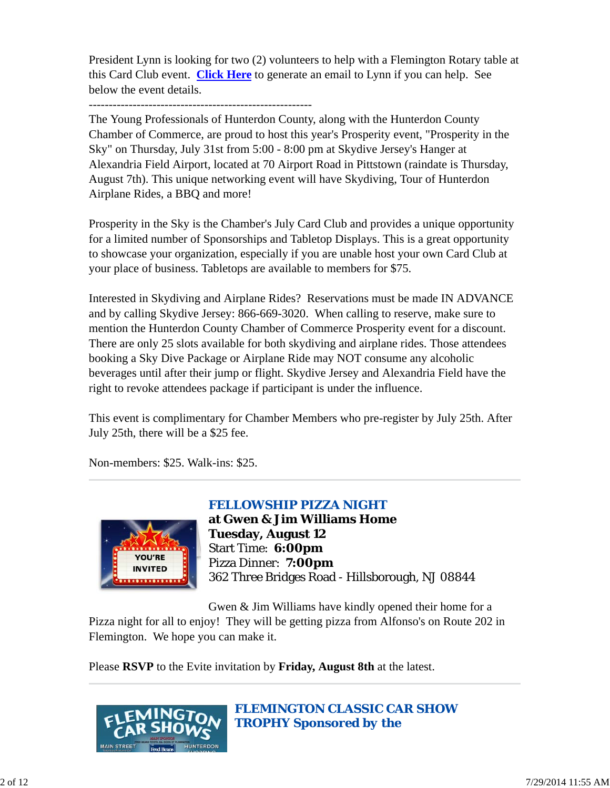President Lynn is looking for two (2) volunteers to help with a Flemington Rotary table at this Card Club event. **Click Here** to generate an email to Lynn if you can help. See below the event details.

The Young Professionals of Hunterdon County, along with the Hunterdon County Chamber of Commerce, are proud to host this year's Prosperity event, "Prosperity in the Sky" on Thursday, July 31st from 5:00 - 8:00 pm at Skydive Jersey's Hanger at Alexandria Field Airport, located at 70 Airport Road in Pittstown (raindate is Thursday, August 7th). This unique networking event will have Skydiving, Tour of Hunterdon Airplane Rides, a BBQ and more!

Prosperity in the Sky is the Chamber's July Card Club and provides a unique opportunity for a limited number of Sponsorships and Tabletop Displays. This is a great opportunity to showcase your organization, especially if you are unable host your own Card Club at your place of business. Tabletops are available to members for \$75.

Interested in Skydiving and Airplane Rides? Reservations must be made IN ADVANCE and by calling Skydive Jersey: 866-669-3020. When calling to reserve, make sure to mention the Hunterdon County Chamber of Commerce Prosperity event for a discount. There are only 25 slots available for both skydiving and airplane rides. Those attendees booking a Sky Dive Package or Airplane Ride may NOT consume any alcoholic beverages until after their jump or flight. Skydive Jersey and Alexandria Field have the right to revoke attendees package if participant is under the influence.

This event is complimentary for Chamber Members who pre-register by July 25th. After July 25th, there will be a \$25 fee.

Non-members: \$25. Walk-ins: \$25.



*FELLOWSHIP PIZZA NIGHT*

**at Gwen & Jim Williams Home Tuesday, August 12** Start Time: **6:00pm** Pizza Dinner: **7:00pm** 362 Three Bridges Road - Hillsborough, NJ 08844

Gwen & Jim Williams have kindly opened their home for a

Pizza night for all to enjoy! They will be getting pizza from Alfonso's on Route 202 in Flemington. We hope you can make it.

Please **RSVP** to the Evite invitation by **Friday, August 8th** at the latest.



*FLEMINGTON CLASSIC CAR SHOW TROPHY Sponsored by the*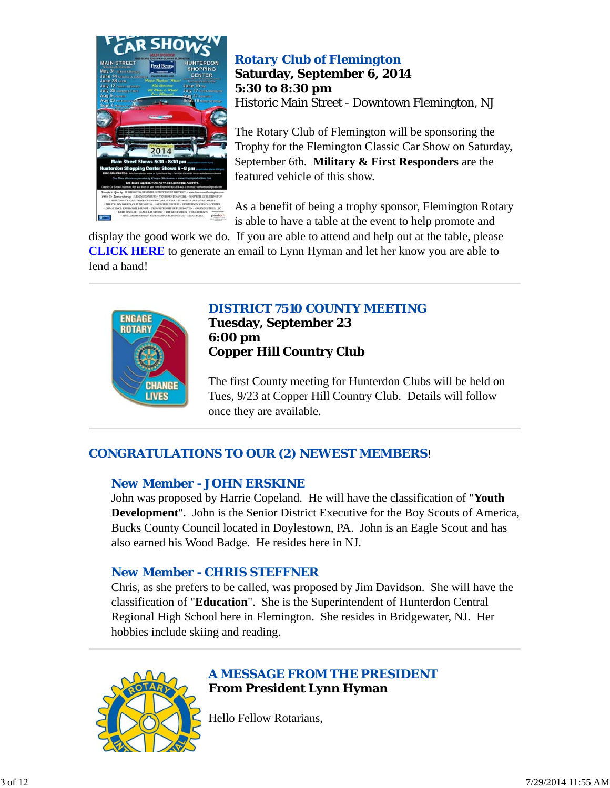

# *Rotary Club of Flemington* **Saturday, September 6, 2014 5:30 to 8:30 pm** Historic Main Street - Downtown Flemington, NJ

The Rotary Club of Flemington will be sponsoring the Trophy for the Flemington Classic Car Show on Saturday, September 6th. **Military & First Responders** are the featured vehicle of this show.

As a benefit of being a trophy sponsor, Flemington Rotary is able to have a table at the event to help promote and

display the good work we do. If you are able to attend and help out at the table, please **CLICK HERE** to generate an email to Lynn Hyman and let her know you are able to lend a hand!



# *DISTRICT 7510 COUNTY MEETING*

**Tuesday, September 23 6:00 pm Copper Hill Country Club**

The first County meeting for Hunterdon Clubs will be held on Tues, 9/23 at Copper Hill Country Club. Details will follow once they are available.

# *CONGRATULATIONS TO OUR (2) NEWEST MEMBERS*!

# *New Member - JOHN ERSKINE*

John was proposed by Harrie Copeland. He will have the classification of "**Youth Development**". John is the Senior District Executive for the Boy Scouts of America, Bucks County Council located in Doylestown, PA. John is an Eagle Scout and has also earned his Wood Badge. He resides here in NJ.

# *New Member - CHRIS STEFFNER*

Chris, as she prefers to be called, was proposed by Jim Davidson. She will have the classification of "**Education**". She is the Superintendent of Hunterdon Central Regional High School here in Flemington. She resides in Bridgewater, NJ. Her hobbies include skiing and reading.



Hello Fellow Rotarians,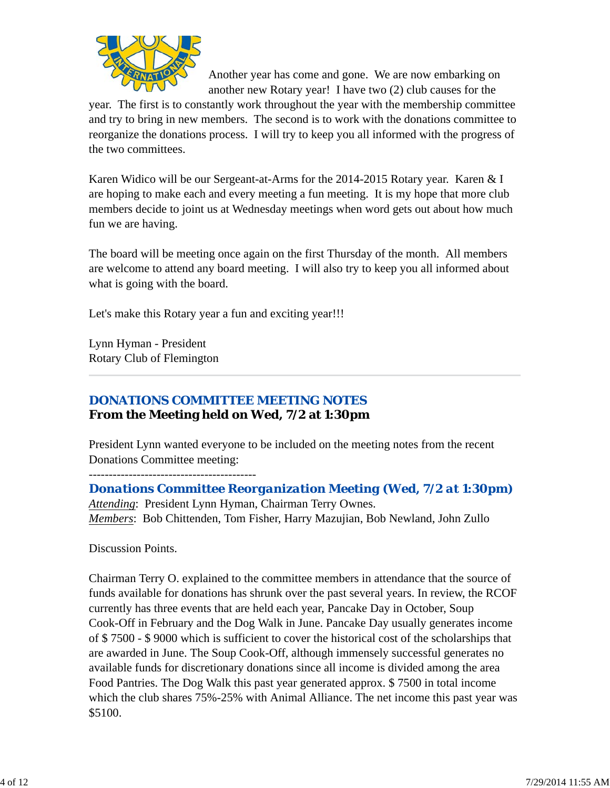

Another year has come and gone. We are now embarking on another new Rotary year! I have two (2) club causes for the

year. The first is to constantly work throughout the year with the membership committee and try to bring in new members. The second is to work with the donations committee to reorganize the donations process. I will try to keep you all informed with the progress of the two committees.

Karen Widico will be our Sergeant-at-Arms for the 2014-2015 Rotary year. Karen & I are hoping to make each and every meeting a fun meeting. It is my hope that more club members decide to joint us at Wednesday meetings when word gets out about how much fun we are having.

The board will be meeting once again on the first Thursday of the month. All members are welcome to attend any board meeting. I will also try to keep you all informed about what is going with the board.

Let's make this Rotary year a fun and exciting year!!!

Lynn Hyman - President Rotary Club of Flemington

# *DONATIONS COMMITTEE MEETING NOTES*

# **From the Meeting held on Wed, 7/2 at 1:30pm**

President Lynn wanted everyone to be included on the meeting notes from the recent Donations Committee meeting:

------------------------------------------ *Donations Committee Reorganization Meeting (Wed, 7/2 at 1:30pm) Attending*: President Lynn Hyman, Chairman Terry Ownes. *Members*: Bob Chittenden, Tom Fisher, Harry Mazujian, Bob Newland, John Zullo

Discussion Points.

Chairman Terry O. explained to the committee members in attendance that the source of funds available for donations has shrunk over the past several years. In review, the RCOF currently has three events that are held each year, Pancake Day in October, Soup Cook-Off in February and the Dog Walk in June. Pancake Day usually generates income of \$ 7500 - \$ 9000 which is sufficient to cover the historical cost of the scholarships that are awarded in June. The Soup Cook-Off, although immensely successful generates no available funds for discretionary donations since all income is divided among the area Food Pantries. The Dog Walk this past year generated approx. \$ 7500 in total income which the club shares 75%-25% with Animal Alliance. The net income this past year was \$5100.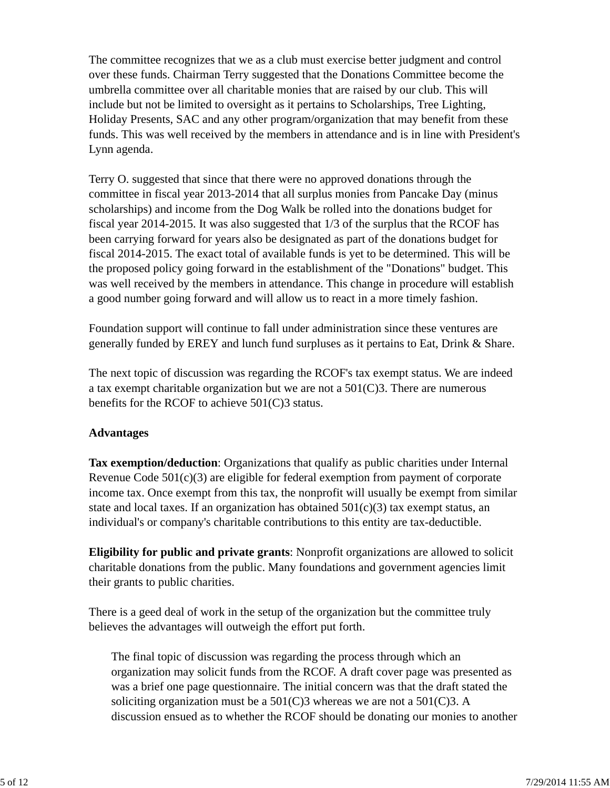The committee recognizes that we as a club must exercise better judgment and control over these funds. Chairman Terry suggested that the Donations Committee become the umbrella committee over all charitable monies that are raised by our club. This will include but not be limited to oversight as it pertains to Scholarships, Tree Lighting, Holiday Presents, SAC and any other program/organization that may benefit from these funds. This was well received by the members in attendance and is in line with President's Lynn agenda.

Terry O. suggested that since that there were no approved donations through the committee in fiscal year 2013-2014 that all surplus monies from Pancake Day (minus scholarships) and income from the Dog Walk be rolled into the donations budget for fiscal year 2014-2015. It was also suggested that 1/3 of the surplus that the RCOF has been carrying forward for years also be designated as part of the donations budget for fiscal 2014-2015. The exact total of available funds is yet to be determined. This will be the proposed policy going forward in the establishment of the "Donations" budget. This was well received by the members in attendance. This change in procedure will establish a good number going forward and will allow us to react in a more timely fashion.

Foundation support will continue to fall under administration since these ventures are generally funded by EREY and lunch fund surpluses as it pertains to Eat, Drink & Share.

The next topic of discussion was regarding the RCOF's tax exempt status. We are indeed a tax exempt charitable organization but we are not a 501(C)3. There are numerous benefits for the RCOF to achieve 501(C)3 status.

## **Advantages**

**Tax exemption/deduction**: Organizations that qualify as public charities under Internal Revenue Code 501(c)(3) are eligible for federal exemption from payment of corporate income tax. Once exempt from this tax, the nonprofit will usually be exempt from similar state and local taxes. If an organization has obtained  $501(c)(3)$  tax exempt status, an individual's or company's charitable contributions to this entity are tax-deductible.

**Eligibility for public and private grants**: Nonprofit organizations are allowed to solicit charitable donations from the public. Many foundations and government agencies limit their grants to public charities.

There is a geed deal of work in the setup of the organization but the committee truly believes the advantages will outweigh the effort put forth.

The final topic of discussion was regarding the process through which an organization may solicit funds from the RCOF. A draft cover page was presented as was a brief one page questionnaire. The initial concern was that the draft stated the soliciting organization must be a  $501(C)3$  whereas we are not a  $501(C)3$ . A discussion ensued as to whether the RCOF should be donating our monies to another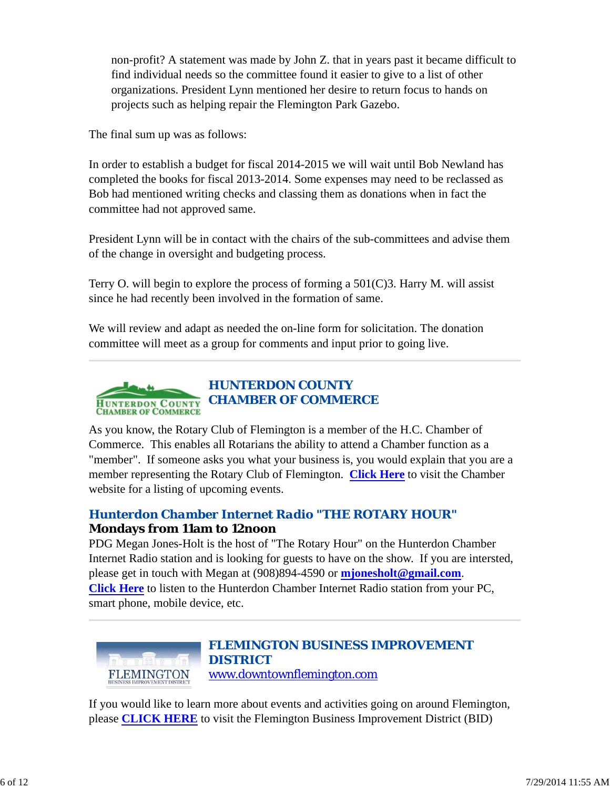non-profit? A statement was made by John Z. that in years past it became difficult to find individual needs so the committee found it easier to give to a list of other organizations. President Lynn mentioned her desire to return focus to hands on projects such as helping repair the Flemington Park Gazebo.

The final sum up was as follows:

In order to establish a budget for fiscal 2014-2015 we will wait until Bob Newland has completed the books for fiscal 2013-2014. Some expenses may need to be reclassed as Bob had mentioned writing checks and classing them as donations when in fact the committee had not approved same.

President Lynn will be in contact with the chairs of the sub-committees and advise them of the change in oversight and budgeting process.

Terry O. will begin to explore the process of forming a  $501(C)3$ . Harry M. will assist since he had recently been involved in the formation of same.

We will review and adapt as needed the on-line form for solicitation. The donation committee will meet as a group for comments and input prior to going live.



As you know, the Rotary Club of Flemington is a member of the H.C. Chamber of Commerce. This enables all Rotarians the ability to attend a Chamber function as a "member". If someone asks you what your business is, you would explain that you are a member representing the Rotary Club of Flemington. **Click Here** to visit the Chamber website for a listing of upcoming events.

# *Hunterdon Chamber Internet Radio "THE ROTARY HOUR"* **Mondays from 11am to 12noon**

PDG Megan Jones-Holt is the host of "The Rotary Hour" on the Hunterdon Chamber Internet Radio station and is looking for guests to have on the show. If you are intersted, please get in touch with Megan at (908)894-4590 or **mjonesholt@gmail.com**. **Click Here** to listen to the Hunterdon Chamber Internet Radio station from your PC, smart phone, mobile device, etc.



## *FLEMINGTON BUSINESS IMPROVEMENT DISTRICT* www.downtownflemington.com

If you would like to learn more about events and activities going on around Flemington, please **CLICK HERE** to visit the Flemington Business Improvement District (BID)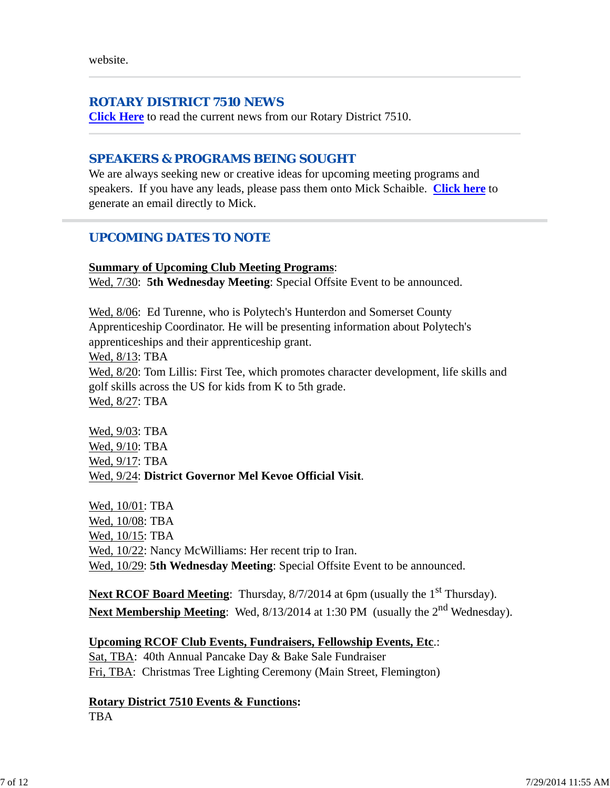website.

#### *ROTARY DISTRICT 7510 NEWS*

**Click Here** to read the current news from our Rotary District 7510.

## *SPEAKERS & PROGRAMS BEING SOUGHT*

We are always seeking new or creative ideas for upcoming meeting programs and speakers. If you have any leads, please pass them onto Mick Schaible. **Click here** to generate an email directly to Mick.

## *UPCOMING DATES TO NOTE*

#### **Summary of Upcoming Club Meeting Programs**:

Wed,  $7/30$ : **5th Wednesday Meeting**: Special Offsite Event to be announced.

Wed, 8/06: Ed Turenne, who is Polytech's Hunterdon and Somerset County Apprenticeship Coordinator. He will be presenting information about Polytech's apprenticeships and their apprenticeship grant. Wed, 8/13: TBA Wed, 8/20: Tom Lillis: First Tee, which promotes character development, life skills and golf skills across the US for kids from K to 5th grade.

Wed, 8/27: TBA

Wed, 9/03: TBA Wed, 9/10: TBA Wed, 9/17: TBA Wed, 9/24: **District Governor Mel Kevoe Official Visit**.

Wed, 10/01: TBA Wed, 10/08: TBA Wed, 10/15: TBA Wed,  $10/22$ : Nancy McWilliams: Her recent trip to Iran. Wed, 10/29: **5th Wednesday Meeting**: Special Offsite Event to be announced.

Next RCOF Board Meeting: Thursday, 8/7/2014 at 6pm (usually the 1<sup>st</sup> Thursday). Next Membership Meeting: Wed, 8/13/2014 at 1:30 PM (usually the 2<sup>nd</sup> Wednesday).

## **Upcoming RCOF Club Events, Fundraisers, Fellowship Events, Etc**.:

Sat, TBA: 40th Annual Pancake Day & Bake Sale Fundraiser Fri, TBA: Christmas Tree Lighting Ceremony (Main Street, Flemington)

**Rotary District 7510 Events & Functions:** TBA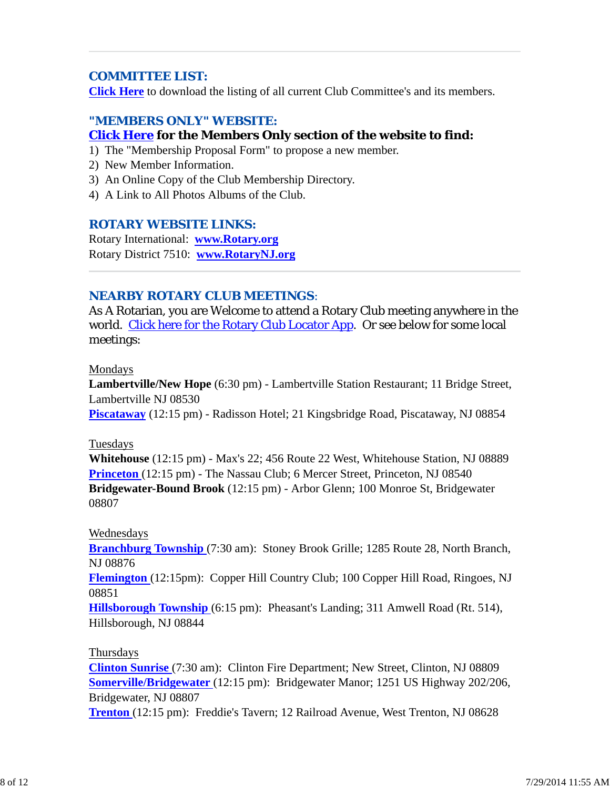## *COMMITTEE LIST:*

**Click Here** to download the listing of all current Club Committee's and its members.

## *"MEMBERS ONLY" WEBSITE:* **Click Here for the Members Only section of the website to find:**

- 1) The "Membership Proposal Form" to propose a new member.
- 2) New Member Information.
- 3) An Online Copy of the Club Membership Directory.
- 4) A Link to All Photos Albums of the Club.

#### *ROTARY WEBSITE LINKS:*

Rotary International: **www.Rotary.org** Rotary District 7510: **www.RotaryNJ.org**

#### *NEARBY ROTARY CLUB MEETINGS:*

As A Rotarian, you are Welcome to attend a Rotary Club meeting anywhere in the world. Click here for the Rotary Club Locator App. Or see below for some local meetings:

#### Mondays

**Lambertville/New Hope** (6:30 pm) - Lambertville Station Restaurant; 11 Bridge Street, Lambertville NJ 08530

**Piscataway** (12:15 pm) - Radisson Hotel; 21 Kingsbridge Road, Piscataway, NJ 08854

#### Tuesdays

**Whitehouse** (12:15 pm) - Max's 22; 456 Route 22 West, Whitehouse Station, NJ 08889 **Princeton** (12:15 pm) - The Nassau Club; 6 Mercer Street, Princeton, NJ 08540 **Bridgewater-Bound Brook** (12:15 pm) - Arbor Glenn; 100 Monroe St, Bridgewater 08807

#### Wednesdays

**Branchburg Township** (7:30 am): Stoney Brook Grille; 1285 Route 28, North Branch, NJ 08876

**Flemington** (12:15pm): Copper Hill Country Club; 100 Copper Hill Road, Ringoes, NJ 08851

**Hillsborough Township** (6:15 pm): Pheasant's Landing; 311 Amwell Road (Rt. 514), Hillsborough, NJ 08844

#### Thursdays

**Clinton Sunrise** (7:30 am): Clinton Fire Department; New Street, Clinton, NJ 08809 **Somerville/Bridgewater** (12:15 pm): Bridgewater Manor; 1251 US Highway 202/206, Bridgewater, NJ 08807

**Trenton** (12:15 pm): Freddie's Tavern; 12 Railroad Avenue, West Trenton, NJ 08628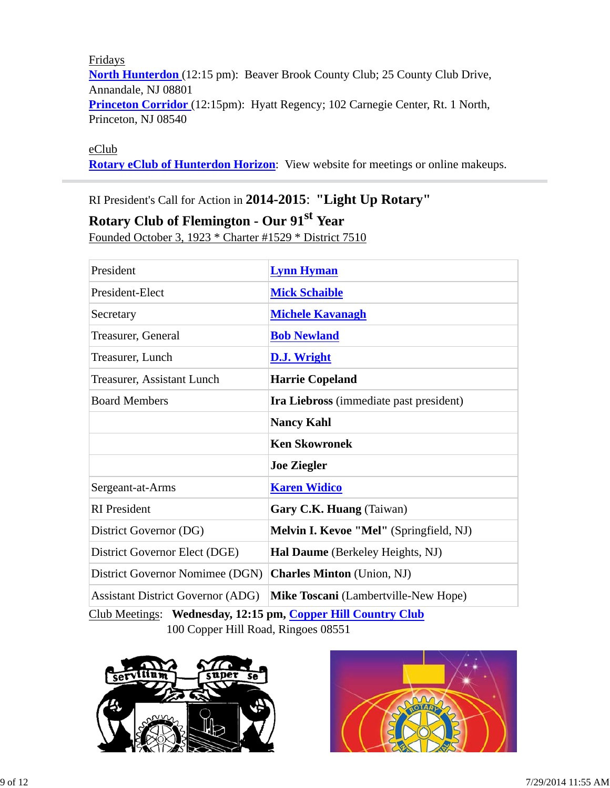Fridays **North Hunterdon** (12:15 pm): Beaver Brook County Club; 25 County Club Drive, Annandale, NJ 08801 **Princeton Corridor** (12:15pm): Hyatt Regency; 102 Carnegie Center, Rt. 1 North, Princeton, NJ 08540

#### eClub

**Rotary eClub of Hunterdon Horizon**: View website for meetings or online makeups.

# RI President's Call for Action in **2014-2015**: **"Light Up Rotary"**

# **Rotary Club of Flemington - Our 91st Year**

Founded October 3, 1923 \* Charter #1529 \* District 7510

| President                                                    | <b>Lynn Hyman</b>                           |  |  |
|--------------------------------------------------------------|---------------------------------------------|--|--|
| President-Elect                                              | <b>Mick Schaible</b>                        |  |  |
| Secretary                                                    | <b>Michele Kavanagh</b>                     |  |  |
| Treasurer, General                                           | <b>Bob Newland</b>                          |  |  |
| Treasurer, Lunch                                             | D.J. Wright                                 |  |  |
| Treasurer, Assistant Lunch                                   | <b>Harrie Copeland</b>                      |  |  |
| <b>Board Members</b>                                         | Ira Liebross (immediate past president)     |  |  |
|                                                              | <b>Nancy Kahl</b>                           |  |  |
|                                                              | <b>Ken Skowronek</b>                        |  |  |
|                                                              | <b>Joe Ziegler</b>                          |  |  |
| Sergeant-at-Arms                                             | <b>Karen Widico</b>                         |  |  |
| <b>RI</b> President                                          | Gary C.K. Huang (Taiwan)                    |  |  |
| District Governor (DG)                                       | Melvin I. Kevoe "Mel" (Springfield, NJ)     |  |  |
| District Governor Elect (DGE)                                | Hal Daume (Berkeley Heights, NJ)            |  |  |
| District Governor Nomimee (DGN)                              | <b>Charles Minton</b> (Union, NJ)           |  |  |
| <b>Assistant District Governor (ADG)</b>                     | <b>Mike Toscani</b> (Lambertville-New Hope) |  |  |
| Club Meetings: Wednesday, 12:15 pm, Copper Hill Country Club |                                             |  |  |

100 Copper Hill Road, Ringoes 08551



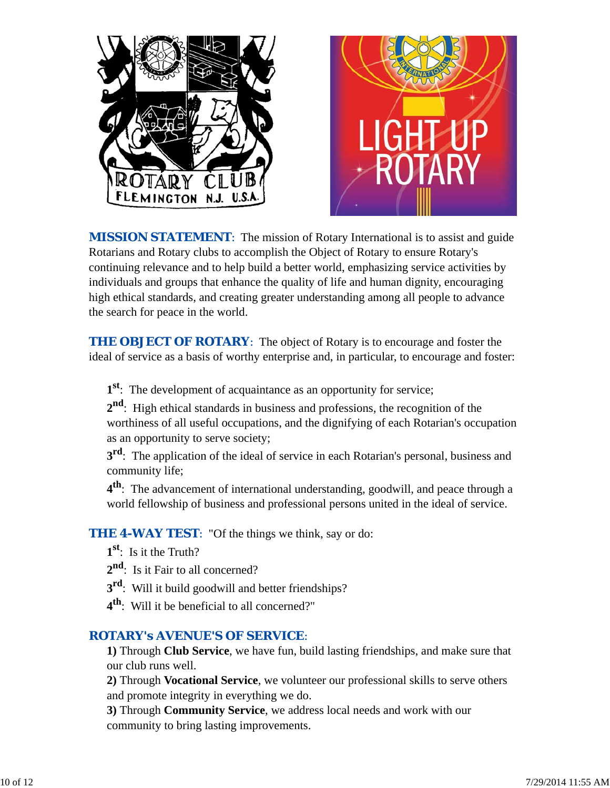

**MISSION STATEMENT:** The mission of Rotary International is to assist and guide Rotarians and Rotary clubs to accomplish the Object of Rotary to ensure Rotary's continuing relevance and to help build a better world, emphasizing service activities by individuals and groups that enhance the quality of life and human dignity, encouraging high ethical standards, and creating greater understanding among all people to advance the search for peace in the world.

**THE OBJECT OF ROTARY:** The object of Rotary is to encourage and foster the ideal of service as a basis of worthy enterprise and, in particular, to encourage and foster:

**1st**: The development of acquaintance as an opportunity for service;

**2nd**: High ethical standards in business and professions, the recognition of the worthiness of all useful occupations, and the dignifying of each Rotarian's occupation as an opportunity to serve society;

**3<sup>rd</sup>**: The application of the ideal of service in each Rotarian's personal, business and community life;

**4th**: The advancement of international understanding, goodwill, and peace through a world fellowship of business and professional persons united in the ideal of service.

**THE 4-WAY TEST:** "Of the things we think, say or do:

- **1st**: Is it the Truth?
- 2<sup>nd</sup>: Is it Fair to all concerned?
- **3<sup>rd</sup>:** Will it build goodwill and better friendships?
- **4th**: Will it be beneficial to all concerned?"

# *ROTARY's AVENUE'S OF SERVICE*:

**1)** Through **Club Service**, we have fun, build lasting friendships, and make sure that our club runs well.

**2)** Through **Vocational Service**, we volunteer our professional skills to serve others and promote integrity in everything we do.

**3)** Through **Community Service**, we address local needs and work with our community to bring lasting improvements.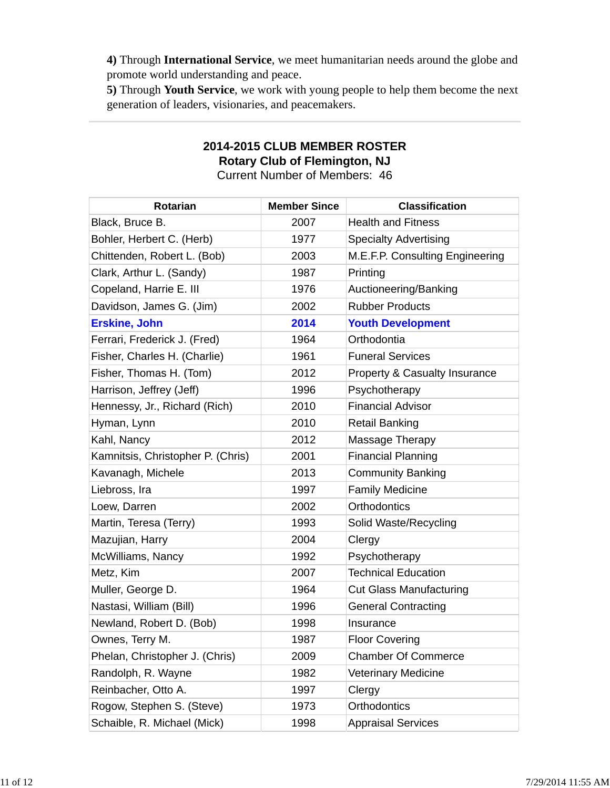**4)** Through **International Service**, we meet humanitarian needs around the globe and promote world understanding and peace.

**5)** Through **Youth Service**, we work with young people to help them become the next generation of leaders, visionaries, and peacemakers.

# **2014-2015 CLUB MEMBER ROSTER Rotary Club of Flemington, NJ**

Current Number of Members: 46

| Rotarian                          | <b>Member Since</b> | <b>Classification</b>           |
|-----------------------------------|---------------------|---------------------------------|
| Black, Bruce B.                   | 2007                | <b>Health and Fitness</b>       |
| Bohler, Herbert C. (Herb)         | 1977                | <b>Specialty Advertising</b>    |
| Chittenden, Robert L. (Bob)       | 2003                | M.E.F.P. Consulting Engineering |
| Clark, Arthur L. (Sandy)          | 1987                | Printing                        |
| Copeland, Harrie E. III           | 1976                | Auctioneering/Banking           |
| Davidson, James G. (Jim)          | 2002                | <b>Rubber Products</b>          |
| <b>Erskine, John</b>              | 2014                | <b>Youth Development</b>        |
| Ferrari, Frederick J. (Fred)      | 1964                | Orthodontia                     |
| Fisher, Charles H. (Charlie)      | 1961                | <b>Funeral Services</b>         |
| Fisher, Thomas H. (Tom)           | 2012                | Property & Casualty Insurance   |
| Harrison, Jeffrey (Jeff)          | 1996                | Psychotherapy                   |
| Hennessy, Jr., Richard (Rich)     | 2010                | <b>Financial Advisor</b>        |
| Hyman, Lynn                       | 2010                | <b>Retail Banking</b>           |
| Kahl, Nancy                       | 2012                | Massage Therapy                 |
| Kamnitsis, Christopher P. (Chris) | 2001                | <b>Financial Planning</b>       |
| Kavanagh, Michele                 | 2013                | <b>Community Banking</b>        |
| Liebross, Ira                     | 1997                | <b>Family Medicine</b>          |
| Loew, Darren                      | 2002                | <b>Orthodontics</b>             |
| Martin, Teresa (Terry)            | 1993                | Solid Waste/Recycling           |
| Mazujian, Harry                   | 2004                | Clergy                          |
| McWilliams, Nancy                 | 1992                | Psychotherapy                   |
| Metz, Kim                         | 2007                | <b>Technical Education</b>      |
| Muller, George D.                 | 1964                | <b>Cut Glass Manufacturing</b>  |
| Nastasi, William (Bill)           | 1996                | <b>General Contracting</b>      |
| Newland, Robert D. (Bob)          | 1998                | Insurance                       |
| Ownes, Terry M.                   | 1987                | <b>Floor Covering</b>           |
| Phelan, Christopher J. (Chris)    | 2009                | <b>Chamber Of Commerce</b>      |
| Randolph, R. Wayne                | 1982                | <b>Veterinary Medicine</b>      |
| Reinbacher, Otto A.               | 1997                | Clergy                          |
| Rogow, Stephen S. (Steve)         | 1973                | Orthodontics                    |
| Schaible, R. Michael (Mick)       | 1998                | <b>Appraisal Services</b>       |